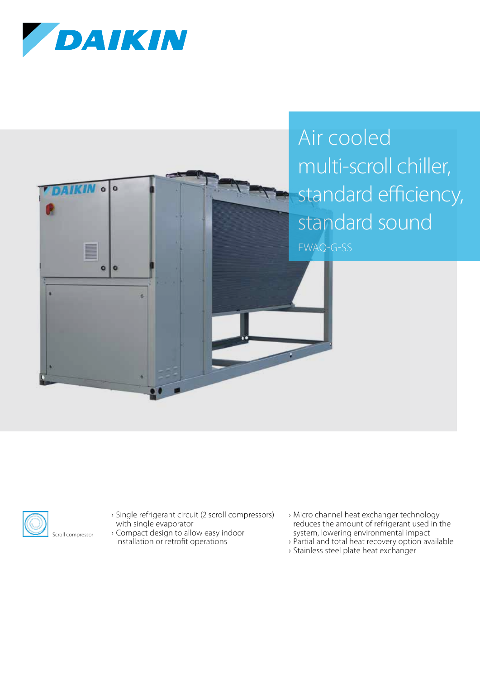





- › Single refrigerant circuit (2 scroll compressors) with single evaporator
- › Compact design to allow easy indoor installation or retrofit operations
- › Micro channel heat exchanger technology reduces the amount of refrigerant used in the system, lowering environmental impact
- › Partial and total heat recovery option available
- › Stainless steel plate heat exchanger